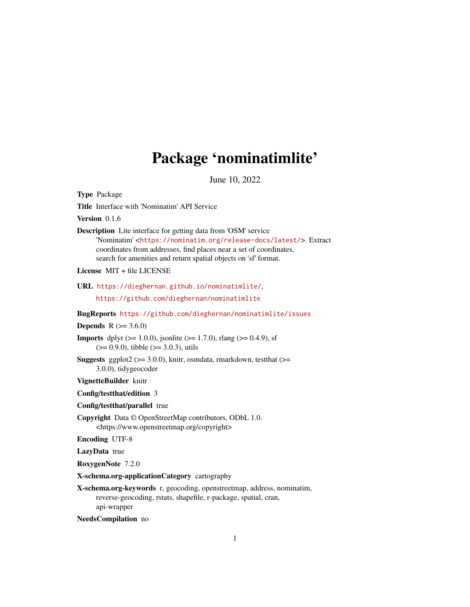## Package 'nominatimlite'

June 10, 2022

<span id="page-0-0"></span>Type Package

Title Interface with 'Nominatim' API Service

Version 0.1.6

Description Lite interface for getting data from 'OSM' service 'Nominatim' <<https://nominatim.org/release-docs/latest/>>. Extract coordinates from addresses, find places near a set of coordinates, search for amenities and return spatial objects on 'sf' format.

License MIT + file LICENSE

URL <https://dieghernan.github.io/nominatimlite/>,

<https://github.com/dieghernan/nominatimlite>

BugReports <https://github.com/dieghernan/nominatimlite/issues>

#### **Depends**  $R (= 3.6.0)$

**Imports** dplyr ( $>= 1.0.0$ ), jsonlite ( $>= 1.7.0$ ), rlang ( $>= 0.4.9$ ), sf  $(>= 0.9.0)$ , tibble  $(>= 3.0.3)$ , utils

**Suggests** ggplot2 ( $>= 3.0.0$ ), knitr, osmdata, rmarkdown, test that ( $>=$ 3.0.0), tidygeocoder

VignetteBuilder knitr

Config/testthat/edition 3

- Config/testthat/parallel true
- Copyright Data © OpenStreetMap contributors, ODbL 1.0. <https://www.openstreetmap.org/copyright>

Encoding UTF-8

LazyData true

RoxygenNote 7.2.0

X-schema.org-applicationCategory cartography

X-schema.org-keywords r, geocoding, openstreetmap, address, nominatim, reverse-geocoding, rstats, shapefile, r-package, spatial, cran, api-wrapper

NeedsCompilation no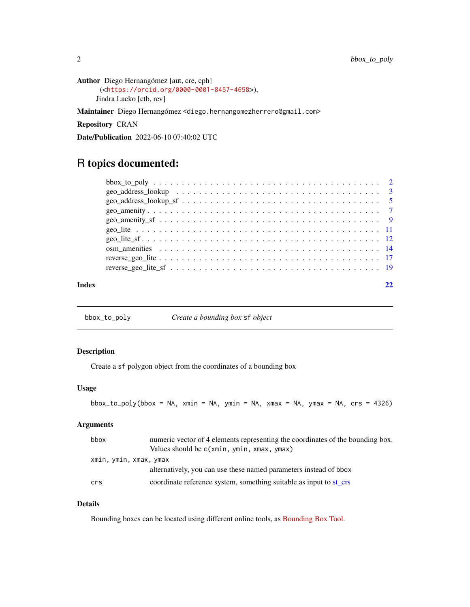```
Author Diego Hernangómez [aut, cre, cph]
      (<https://orcid.org/0000-0001-8457-4658>),
     Jindra Lacko [ctb, rev]
```
Maintainer Diego Hernangómez <diego.hernangomezherrero@gmail.com>

Repository CRAN

Date/Publication 2022-06-10 07:40:02 UTC

### R topics documented:

| Index |  |
|-------|--|

<span id="page-1-1"></span>bbox\_to\_poly *Create a bounding box* sf *object*

#### Description

Create a sf polygon object from the coordinates of a bounding box

#### Usage

```
\text{bbox_to-poly(bbox = NA, xmin = NA, ymin = NA, xmax = NA, ymax = NA, crs = 4326)}
```
#### Arguments

| bbox                   | numeric vector of 4 elements representing the coordinates of the bounding box. |  |
|------------------------|--------------------------------------------------------------------------------|--|
|                        | Values should be c(xmin, ymin, xmax, ymax)                                     |  |
| xmin, ymin, xmax, ymax |                                                                                |  |
|                        | alternatively, you can use these named parameters instead of bbox              |  |
| crs                    | coordinate reference system, something suitable as input to st crs             |  |

#### Details

Bounding boxes can be located using different online tools, as [Bounding Box Tool.](https://boundingbox.klokantech.com/)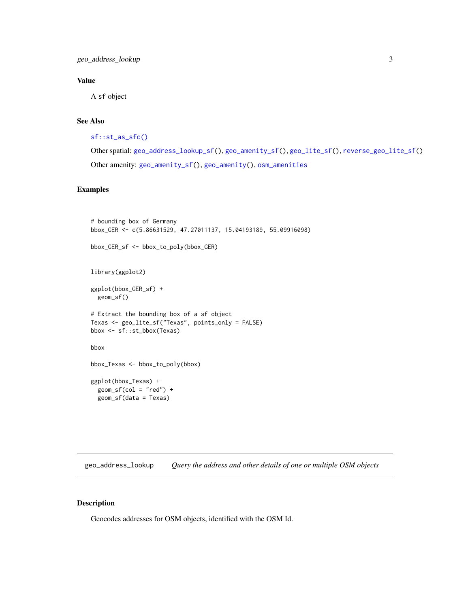#### <span id="page-2-0"></span>Value

A sf object

#### See Also

```
sf::st_as_sfc()
```

```
Other spatial: geo_address_lookup_sf(), geo_amenity_sf(), geo_lite_sf(), reverse_geo_lite_sf()
Other amenity: geo_amenity_sf(), geo_amenity(), osm_amenities
```
#### Examples

```
# bounding box of Germany
bbox_GER <- c(5.86631529, 47.27011137, 15.04193189, 55.09916098)
bbox_GER_sf <- bbox_to_poly(bbox_GER)
library(ggplot2)
ggplot(bbox_GER_sf) +
  geom_sf()
# Extract the bounding box of a sf object
Texas <- geo_lite_sf("Texas", points_only = FALSE)
bbox <- sf::st_bbox(Texas)
bbox
bbox_Texas <- bbox_to_poly(bbox)
ggplot(bbox_Texas) +
  geom_sf(cd = "red") +geom_sf(data = Texas)
```
<span id="page-2-1"></span>geo\_address\_lookup *Query the address and other details of one or multiple OSM objects*

#### Description

Geocodes addresses for OSM objects, identified with the OSM Id.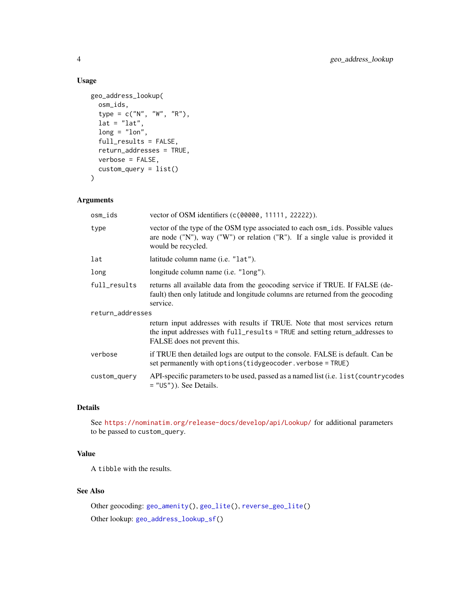#### Usage

```
geo_address_lookup(
  osm_ids,
  type = c("N", "W", "R"),
  lat = "lat",long = "lon",full_results = FALSE,
  return_addresses = TRUE,
  verbose = FALSE,
  \text{custom\_query} = \text{list}()\mathcal{E}
```
#### Arguments

| osm_ids          | vector of OSM identifiers (c(00000, 11111, 22222)).                                                                                                                                         |
|------------------|---------------------------------------------------------------------------------------------------------------------------------------------------------------------------------------------|
| type             | vector of the type of the OSM type associated to each osm_ids. Possible values<br>are node ("N"), way ("W") or relation ("R"). If a single value is provided it<br>would be recycled.       |
| lat              | latitude column name ( <i>i.e.</i> "lat").                                                                                                                                                  |
| long             | longitude column name ( <i>i.e.</i> "long").                                                                                                                                                |
| full_results     | returns all available data from the geocoding service if TRUE. If FALSE (de-<br>fault) then only latitude and longitude columns are returned from the geocoding<br>service.                 |
| return_addresses |                                                                                                                                                                                             |
|                  | return input addresses with results if TRUE. Note that most services return<br>the input addresses with full_results = TRUE and setting return_addresses to<br>FALSE does not prevent this. |
| verbose          | if TRUE then detailed logs are output to the console. FALSE is default. Can be<br>set permanently with options (tidygeocoder. verbose = TRUE)                                               |
| custom_query     | API-specific parameters to be used, passed as a named list (i.e. list (country codes<br>$=$ "US")). See Details.                                                                            |
|                  |                                                                                                                                                                                             |

#### Details

See <https://nominatim.org/release-docs/develop/api/Lookup/> for additional parameters to be passed to custom\_query.

#### Value

A tibble with the results.

### See Also

```
Other geocoding: geo_amenity(), geo_lite(), reverse_geo_lite()
Other lookup: geo_address_lookup_sf()
```
<span id="page-3-0"></span>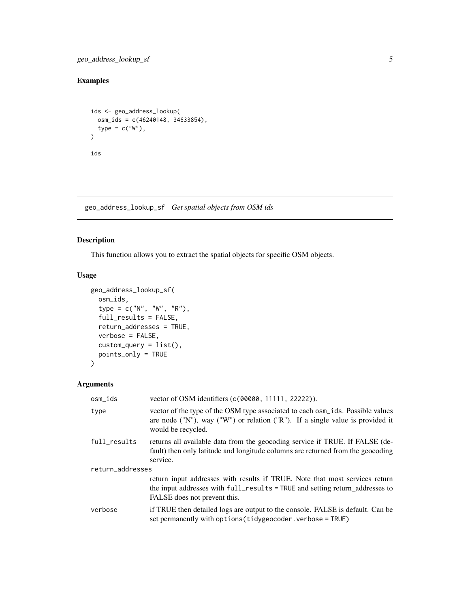<span id="page-4-0"></span>geo\_address\_lookup\_sf 5

#### Examples

```
ids <- geo_address_lookup(
 osm_ids = c(46240148, 34633854),
  type = c("W"),
\lambdaids
```
<span id="page-4-1"></span>geo\_address\_lookup\_sf *Get spatial objects from OSM ids*

#### Description

This function allows you to extract the spatial objects for specific OSM objects.

#### Usage

```
geo_address_lookup_sf(
 osm_ids,
  type = c("N", "W", "R"),
  full_results = FALSE,
  return_addresses = TRUE,
  verbose = FALSE,
  custom_query = list(),
 points_only = TRUE
\mathcal{L}
```
#### Arguments

| osm_ids          | vector of OSM identifiers (c(00000, 11111, 22222)).                                                                                                                                           |
|------------------|-----------------------------------------------------------------------------------------------------------------------------------------------------------------------------------------------|
| type             | vector of the type of the OSM type associated to each osm_ids. Possible values<br>are node $("N")$ , way $("W")$ or relation $("R")$ . If a single value is provided it<br>would be recycled. |
| full_results     | returns all available data from the geocoding service if TRUE. If FALSE (de-<br>fault) then only latitude and longitude columns are returned from the geocoding<br>service.                   |
| return_addresses |                                                                                                                                                                                               |
|                  | return input addresses with results if TRUE. Note that most services return<br>the input addresses with full_results = TRUE and setting return_addresses to<br>FALSE does not prevent this.   |
| verbose          | if TRUE then detailed logs are output to the console. FALSE is default. Can be<br>set permanently with options (tidygeocoder. verbose = TRUE)                                                 |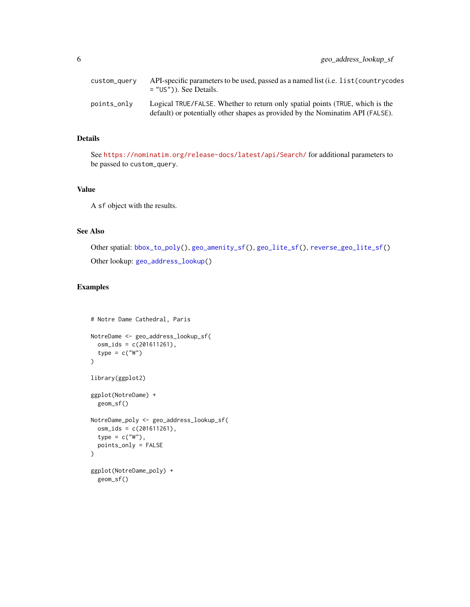<span id="page-5-0"></span>

| custom_query | API-specific parameters to be used, passed as a named list (i.e. list (countrycodes<br>$=$ "US")). See Details.                                                 |
|--------------|-----------------------------------------------------------------------------------------------------------------------------------------------------------------|
| points_only  | Logical TRUE/FALSE. Whether to return only spatial points (TRUE, which is the<br>default) or potentially other shapes as provided by the Nominatim API (FALSE). |

#### Details

See <https://nominatim.org/release-docs/latest/api/Search/> for additional parameters to be passed to custom\_query.

#### Value

A sf object with the results.

#### See Also

```
Other spatial: bbox_to_poly(), geo_amenity_sf(), geo_lite_sf(), reverse_geo_lite_sf()
Other lookup: geo_address_lookup()
```
#### Examples

```
# Notre Dame Cathedral, Paris
NotreDame <- geo_address_lookup_sf(
 osm_ids = c(201611261),
  type = c("W")\mathcal{L}library(ggplot2)
ggplot(NotreDame) +
  geom_sf()
NotreDame_poly <- geo_address_lookup_sf(
  osm_ids = c(201611261),
  type = c("W"),
  points_only = FALSE
\mathcal{L}ggplot(NotreDame_poly) +
  geom_sf()
```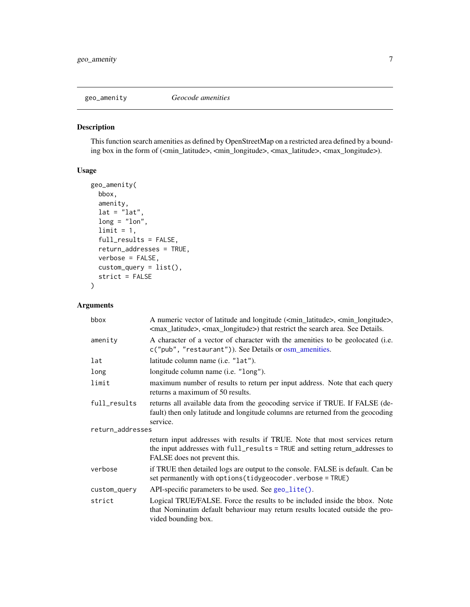<span id="page-6-1"></span><span id="page-6-0"></span>

#### Description

This function search amenities as defined by OpenStreetMap on a restricted area defined by a bounding box in the form of (<min\_latitude>, <min\_longitude>, <max\_latitude>, <max\_longitude>).

#### Usage

```
geo_amenity(
 bbox,
  amenity,
 lat = "lat",long = "lon",limit = 1,full_results = FALSE,
  return_addresses = TRUE,
 verbose = FALSE,
 custom_query = list(),
  strict = FALSE
)
```
#### Arguments

| bbox             | A numeric vector of latitude and longitude ( <min_latitude>, <min_longitude>,<br/><max_latitude>, <max_longitude>) that restrict the search area. See Details.</max_longitude></max_latitude></min_longitude></min_latitude> |
|------------------|------------------------------------------------------------------------------------------------------------------------------------------------------------------------------------------------------------------------------|
| amenity          | A character of a vector of character with the amenities to be geolocated (i.e.<br>c("pub", "restaurant")). See Details or osm_amenities.                                                                                     |
| lat              | latitude column name (i.e. "lat").                                                                                                                                                                                           |
| long             | longitude column name ( <i>i.e.</i> "long").                                                                                                                                                                                 |
| limit            | maximum number of results to return per input address. Note that each query<br>returns a maximum of 50 results.                                                                                                              |
| full_results     | returns all available data from the geocoding service if TRUE. If FALSE (de-<br>fault) then only latitude and longitude columns are returned from the geocoding<br>service.                                                  |
| return_addresses |                                                                                                                                                                                                                              |
|                  | return input addresses with results if TRUE. Note that most services return<br>the input addresses with full_results = TRUE and setting return_addresses to<br>FALSE does not prevent this.                                  |
| verbose          | if TRUE then detailed logs are output to the console. FALSE is default. Can be<br>set permanently with options (tidygeocoder. verbose = TRUE)                                                                                |
| custom_query     | API-specific parameters to be used. See geo_lite().                                                                                                                                                                          |
| strict           | Logical TRUE/FALSE. Force the results to be included inside the bbox. Note<br>that Nominatim default behaviour may return results located outside the pro-<br>vided bounding box.                                            |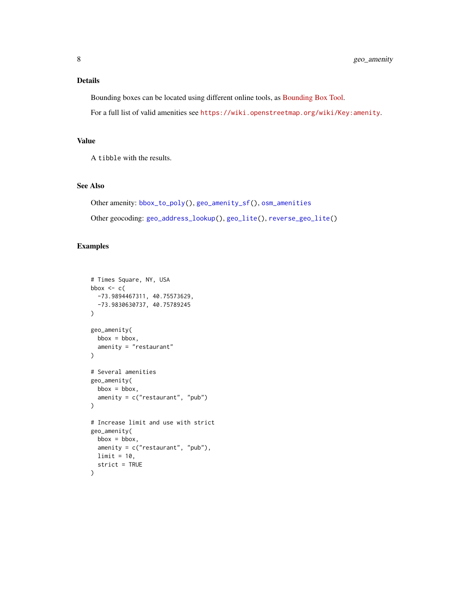#### <span id="page-7-0"></span>Details

Bounding boxes can be located using different online tools, as [Bounding Box Tool.](https://boundingbox.klokantech.com/)

For a full list of valid amenities see <https://wiki.openstreetmap.org/wiki/Key:amenity>.

#### Value

A tibble with the results.

#### See Also

```
Other amenity: bbox_to_poly(), geo_amenity_sf(), osm_amenities
Other geocoding: geo_address_lookup(), geo_lite(), reverse_geo_lite()
```
#### Examples

```
# Times Square, NY, USA
bbox \leq c(
  -73.9894467311, 40.75573629,
  -73.9830630737, 40.75789245
\mathcal{L}geo_amenity(
  bbox = bbox,
  amenity = "restaurant"
\mathcal{L}# Several amenities
geo_amenity(
 bbox = bbox,
  amenity = c("restaurant", "pub")
\mathcal{L}# Increase limit and use with strict
geo_amenity(
 bbox = bbox,amenity = c("restaurant", "pub"),
 limit = 10,
  strict = TRUE
\overline{\phantom{a}}
```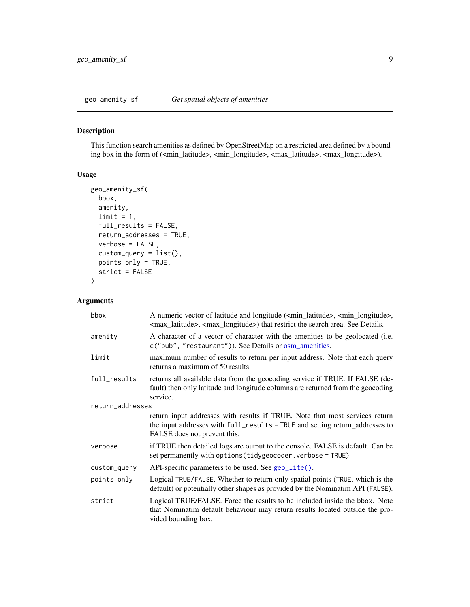<span id="page-8-1"></span><span id="page-8-0"></span>

#### Description

This function search amenities as defined by OpenStreetMap on a restricted area defined by a bounding box in the form of (<min\_latitude>, <min\_longitude>, <max\_latitude>, <max\_longitude>).

#### Usage

```
geo_amenity_sf(
 bbox,
  amenity,
 limit = 1,full_results = FALSE,
  return_addresses = TRUE,
  verbose = FALSE,
  custom_query = list(),
 points_only = TRUE,
  strict = FALSE
)
```
#### Arguments

| bbox             | A numeric vector of latitude and longitude ( <min_latitude>, <min_longitude>,<br/><max_latitude>, <max_longitude>) that restrict the search area. See Details.</max_longitude></max_latitude></min_longitude></min_latitude> |
|------------------|------------------------------------------------------------------------------------------------------------------------------------------------------------------------------------------------------------------------------|
| amenity          | A character of a vector of character with the amenities to be geolocated (i.e.<br>c("pub", "restaurant")). See Details or osm_amenities.                                                                                     |
| limit            | maximum number of results to return per input address. Note that each query<br>returns a maximum of 50 results.                                                                                                              |
| full_results     | returns all available data from the geocoding service if TRUE. If FALSE (de-<br>fault) then only latitude and longitude columns are returned from the geocoding<br>service.                                                  |
| return_addresses |                                                                                                                                                                                                                              |
|                  | return input addresses with results if TRUE. Note that most services return<br>the input addresses with full_results = TRUE and setting return_addresses to<br>FALSE does not prevent this.                                  |
| verbose          | if TRUE then detailed logs are output to the console. FALSE is default. Can be<br>set permanently with options (tidygeocoder.verbose = TRUE)                                                                                 |
| custom_query     | API-specific parameters to be used. See geo_lite().                                                                                                                                                                          |
| points_only      | Logical TRUE/FALSE. Whether to return only spatial points (TRUE, which is the<br>default) or potentially other shapes as provided by the Nominatim API (FALSE).                                                              |
| strict           | Logical TRUE/FALSE. Force the results to be included inside the bbox. Note<br>that Nominatim default behaviour may return results located outside the pro-<br>vided bounding box.                                            |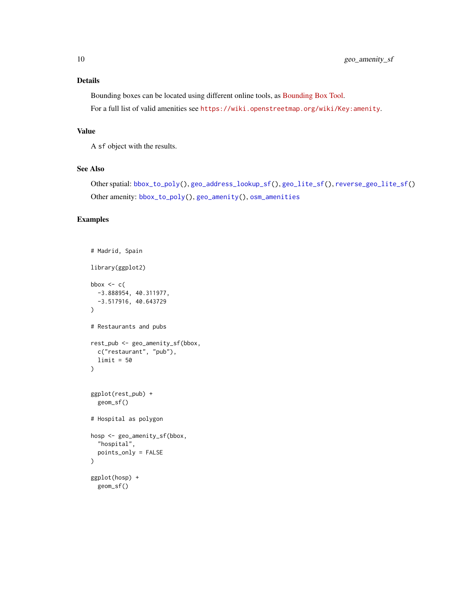#### <span id="page-9-0"></span>Details

Bounding boxes can be located using different online tools, as [Bounding Box Tool.](https://boundingbox.klokantech.com/) For a full list of valid amenities see <https://wiki.openstreetmap.org/wiki/Key:amenity>.

#### Value

A sf object with the results.

#### See Also

```
Other spatial: bbox_to_poly(), geo_address_lookup_sf(), geo_lite_sf(), reverse_geo_lite_sf()
Other amenity: bbox_to_poly(), geo_amenity(), osm_amenities
```
#### Examples

```
# Madrid, Spain
library(ggplot2)
bbox \leq c(
 -3.888954, 40.311977,
  -3.517916, 40.643729
)
# Restaurants and pubs
rest_pub <- geo_amenity_sf(bbox,
  c("restaurant", "pub"),
 limit = 50
)
ggplot(rest_pub) +
  geom_sf()
# Hospital as polygon
hosp <- geo_amenity_sf(bbox,
  "hospital",
  points_only = FALSE
)
ggplot(hosp) +
  geom_sf()
```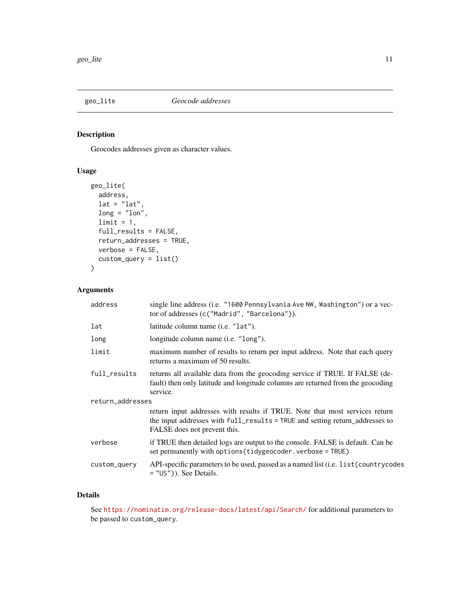<span id="page-10-1"></span><span id="page-10-0"></span>

#### Description

Geocodes addresses given as character values.

#### Usage

```
geo_lite(
 address,
 lat = "lat",long = "lon",limit = 1,full_results = FALSE,
 return_addresses = TRUE,
 verbose = FALSE,
 custom_query = list()
)
```
#### Arguments

| address          | single line address (i.e. "1600 Pennsylvania Ave NW, Washington") or a vec-<br>tor of addresses (c("Madrid", "Barcelona")).                                                                 |  |
|------------------|---------------------------------------------------------------------------------------------------------------------------------------------------------------------------------------------|--|
| lat              | latitude column name (i.e. "lat").                                                                                                                                                          |  |
| long             | longitude column name ( <i>i.e.</i> "long").                                                                                                                                                |  |
| limit            | maximum number of results to return per input address. Note that each query<br>returns a maximum of 50 results.                                                                             |  |
| full_results     | returns all available data from the geocoding service if TRUE. If FALSE (de-<br>fault) then only latitude and longitude columns are returned from the geocoding<br>service.                 |  |
| return_addresses |                                                                                                                                                                                             |  |
|                  | return input addresses with results if TRUE. Note that most services return<br>the input addresses with full_results = TRUE and setting return_addresses to<br>FALSE does not prevent this. |  |
| verbose          | if TRUE then detailed logs are output to the console. FALSE is default. Can be<br>set permanently with options (tidygeocoder. verbose = TRUE)                                               |  |
| custom_query     | API-specific parameters to be used, passed as a named list (i.e. list (country codes<br>$=$ "US")). See Details.                                                                            |  |
|                  |                                                                                                                                                                                             |  |

#### Details

See <https://nominatim.org/release-docs/latest/api/Search/> for additional parameters to be passed to custom\_query.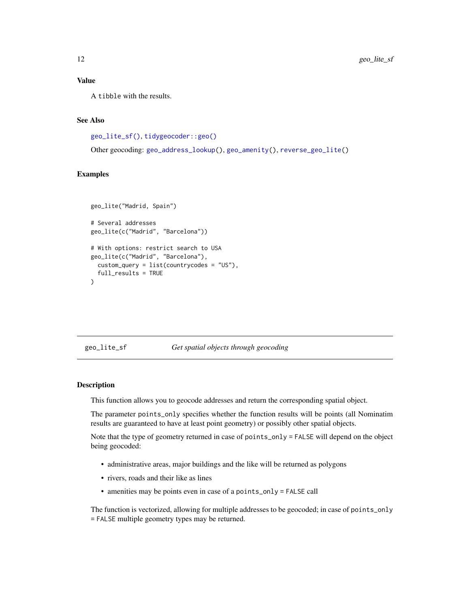#### <span id="page-11-0"></span>Value

A tibble with the results.

#### See Also

```
geo_lite_sf(), tidygeocoder::geo()
```
Other geocoding: [geo\\_address\\_lookup\(](#page-2-1)), [geo\\_amenity\(](#page-6-1)), [reverse\\_geo\\_lite\(](#page-16-1))

#### Examples

```
geo_lite("Madrid, Spain")
# Several addresses
geo_lite(c("Madrid", "Barcelona"))
# With options: restrict search to USA
geo_lite(c("Madrid", "Barcelona"),
 custom_query = list(countrycodes = "US"),
 full_results = TRUE
\mathcal{L}
```
#### <span id="page-11-1"></span>geo\_lite\_sf *Get spatial objects through geocoding*

#### Description

This function allows you to geocode addresses and return the corresponding spatial object.

The parameter points\_only specifies whether the function results will be points (all Nominatim results are guaranteed to have at least point geometry) or possibly other spatial objects.

Note that the type of geometry returned in case of points\_only = FALSE will depend on the object being geocoded:

- administrative areas, major buildings and the like will be returned as polygons
- rivers, roads and their like as lines
- amenities may be points even in case of a points\_only = FALSE call

The function is vectorized, allowing for multiple addresses to be geocoded; in case of points\_only = FALSE multiple geometry types may be returned.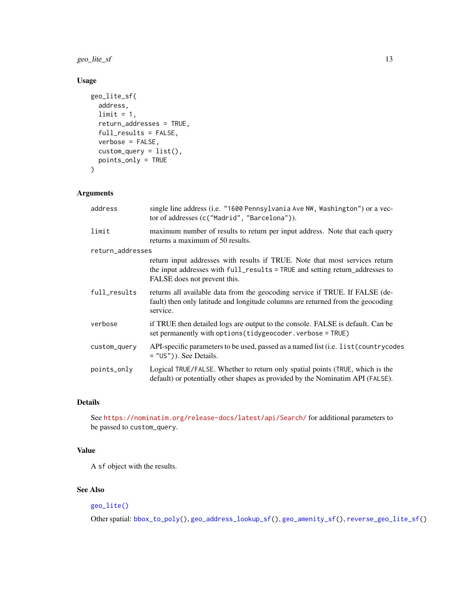<span id="page-12-0"></span>geo\_lite\_sf 13

#### Usage

```
geo_lite_sf(
 address,
 limit = 1,return_addresses = TRUE,
  full_results = FALSE,
 verbose = FALSE,
  custom_query = list(),
 points_only = TRUE
)
```
#### Arguments

| address          | single line address (i.e. "1600 Pennsylvania Ave NW, Washington") or a vec-<br>tor of addresses (c("Madrid", "Barcelona")).                                                                 |
|------------------|---------------------------------------------------------------------------------------------------------------------------------------------------------------------------------------------|
| limit            | maximum number of results to return per input address. Note that each query<br>returns a maximum of 50 results.                                                                             |
| return_addresses |                                                                                                                                                                                             |
|                  | return input addresses with results if TRUE. Note that most services return<br>the input addresses with full_results = TRUE and setting return_addresses to<br>FALSE does not prevent this. |
| full_results     | returns all available data from the geocoding service if TRUE. If FALSE (de-<br>fault) then only latitude and longitude columns are returned from the geocoding<br>service.                 |
| verbose          | if TRUE then detailed logs are output to the console. FALSE is default. Can be<br>set permanently with options (tidygeocoder. verbose = TRUE)                                               |
| custom_query     | API-specific parameters to be used, passed as a named list (i.e. list (country codes<br>$=$ "US")). See Details.                                                                            |
| points_only      | Logical TRUE/FALSE. Whether to return only spatial points (TRUE, which is the<br>default) or potentially other shapes as provided by the Nominatim API (FALSE).                             |

#### Details

See <https://nominatim.org/release-docs/latest/api/Search/> for additional parameters to be passed to custom\_query.

#### Value

A sf object with the results.

#### See Also

#### [geo\\_lite\(\)](#page-10-1)

Other spatial: [bbox\\_to\\_poly\(](#page-1-1)), [geo\\_address\\_lookup\\_sf\(](#page-4-1)), [geo\\_amenity\\_sf\(](#page-8-1)), [reverse\\_geo\\_lite\\_sf\(](#page-18-1))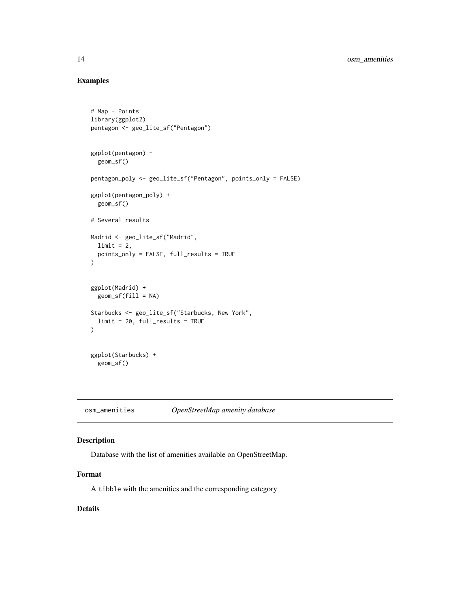#### Examples

```
# Map - Points
library(ggplot2)
pentagon <- geo_lite_sf("Pentagon")
ggplot(pentagon) +
  geom_sf()
pentagon_poly <- geo_lite_sf("Pentagon", points_only = FALSE)
ggplot(pentagon_poly) +
  geom_sf()
# Several results
Madrid <- geo_lite_sf("Madrid",
  limit = 2,
 points_only = FALSE, full_results = TRUE
\mathcal{L}ggplot(Madrid) +
 geom_sf(fill = NA)
Starbucks <- geo_lite_sf("Starbucks, New York",
  limit = 20, full_results = TRUE
)
ggplot(Starbucks) +
  geom_sf()
```
<span id="page-13-1"></span>osm\_amenities *OpenStreetMap amenity database*

#### Description

Database with the list of amenities available on OpenStreetMap.

#### Format

A tibble with the amenities and the corresponding category

#### Details

<span id="page-13-0"></span>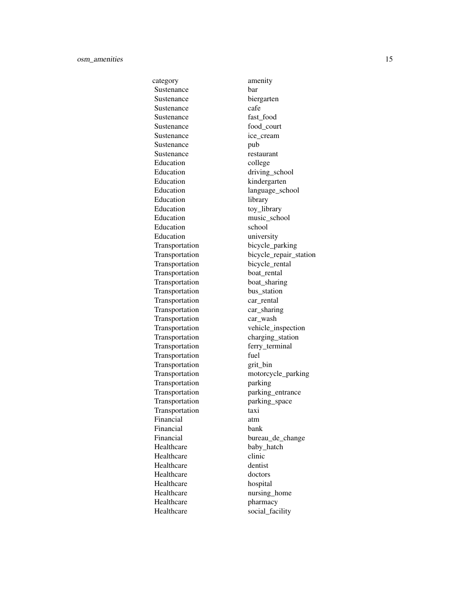category amenity Sustenance bar Sustenance biergarten Sustenance cafe Sustenance fast food Sustenance food\_court Sustenance ice cream Sustenance pub Sustenance restaurant Education college Education driving\_school Education kindergarten Education language\_school Education library Education toy\_library Education music\_school Education school Education university Transportation bicycle\_parking Transportation bicycle\_rental Transportation boat rental Transportation boat\_sharing Transportation bus\_station Transportation car\_rental Transportation car\_sharing Transportation car\_wash Transportation charging\_station Transportation ferry\_terminal Transportation fuel Transportation grit\_bin Transportation parking Transportation parking\_entrance Transportation parking\_space Transportation taxi Financial atm Financial bank Healthcare baby\_hatch Healthcare clinic Healthcare dentist Healthcare doctors Healthcare hospital<br>Healthcare hursing Healthcare pharmacy Healthcare social\_facility

Transportation bicycle\_repair\_station Transportation vehicle\_inspection Transportation motorcycle\_parking Financial bureau\_de\_change nursing\_home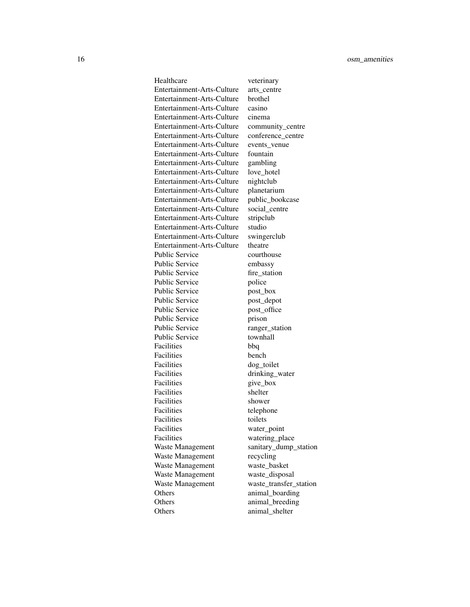Healthcare veterinary Entertainment-Arts-Culture arts\_centre Entertainment-Arts-Culture brothel Entertainment-Arts-Culture casino Entertainment-Arts-Culture cinema Entertainment-Arts-Culture community\_centre Entertainment-Arts-Culture conference\_centre Entertainment-Arts-Culture events\_venue Entertainment-Arts-Culture fountain Entertainment-Arts-Culture gambling Entertainment-Arts-Culture love\_hotel Entertainment-Arts-Culture nightclub Entertainment-Arts-Culture planetarium Entertainment-Arts-Culture public\_bookcase Entertainment-Arts-Culture social\_centre Entertainment-Arts-Culture stripclub Entertainment-Arts-Culture studio Entertainment-Arts-Culture swingerclub Entertainment-Arts-Culture theatre Public Service courthouse Public Service embassy Public Service fire station Public Service police Public Service post\_box Public Service post\_depot Public Service post\_office Public Service prison Public Service ranger\_station Public Service townhall Facilities bbq Facilities bench Facilities dog\_toilet Facilities drinking\_water Facilities give\_box Facilities shelter Facilities shower Facilities telephone Facilities toilets Facilities water\_point Facilities watering\_place Waste Management sanitary\_dump\_station Waste Management recycling Waste Management waste\_basket Waste Management waste\_disposal Waste Management waste\_transfer\_station Others animal\_boarding Others animal\_breeding Others animal\_shelter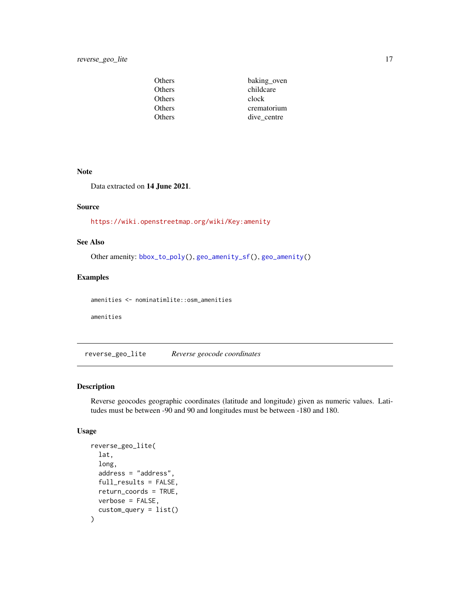<span id="page-16-0"></span>

| Others | baking_oven |
|--------|-------------|
| Others | childcare   |
| Others | clock       |
| Others | crematorium |
| Others | dive centre |

#### Note

Data extracted on 14 June 2021.

#### Source

<https://wiki.openstreetmap.org/wiki/Key:amenity>

#### See Also

Other amenity: [bbox\\_to\\_poly\(](#page-1-1)), [geo\\_amenity\\_sf\(](#page-8-1)), [geo\\_amenity\(](#page-6-1))

#### Examples

amenities <- nominatimlite::osm\_amenities

amenities

<span id="page-16-1"></span>reverse\_geo\_lite *Reverse geocode coordinates*

#### Description

Reverse geocodes geographic coordinates (latitude and longitude) given as numeric values. Latitudes must be between -90 and 90 and longitudes must be between -180 and 180.

#### Usage

```
reverse_geo_lite(
  lat,
  long,
  address = "address",
  full_results = FALSE,
  return_coords = TRUE,
  verbose = FALSE,
  custom_query = list()
\mathcal{E}
```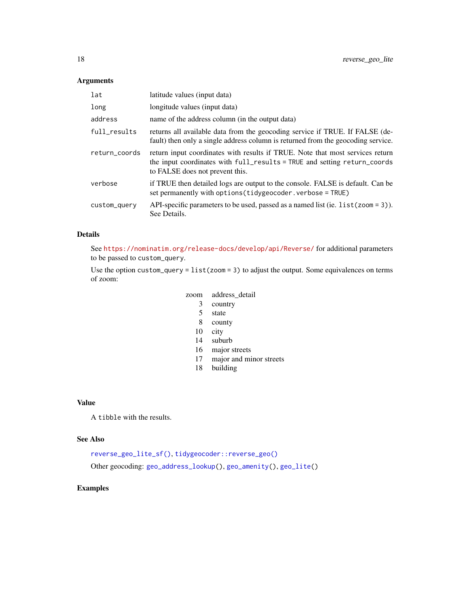#### Arguments

| lat           | latitude values (input data)                                                                                                                                                                 |
|---------------|----------------------------------------------------------------------------------------------------------------------------------------------------------------------------------------------|
| long          | longitude values (input data)                                                                                                                                                                |
| address       | name of the address column (in the output data)                                                                                                                                              |
| full_results  | returns all available data from the geocoding service if TRUE. If FALSE (de-<br>fault) then only a single address column is returned from the geocoding service.                             |
| return_coords | return input coordinates with results if TRUE. Note that most services return<br>the input coordinates with full_results = TRUE and setting return_coords<br>to FALSE does not prevent this. |
| verbose       | if TRUE then detailed logs are output to the console. FALSE is default. Can be<br>set permanently with options (tidygeocoder.verbose = TRUE)                                                 |
| custom_query  | API-specific parameters to be used, passed as a named list (ie. $list$ (zoom = 3)).<br>See Details.                                                                                          |

#### Details

See <https://nominatim.org/release-docs/develop/api/Reverse/> for additional parameters to be passed to custom\_query.

Use the option custom\_query =  $list(zoom = 3)$  to adjust the output. Some equivalences on terms of zoom:

#### zoom address\_detail

- 3 country
- 5 state
- 8 county
- 10 city
- 14 suburb
- 16 major streets
- 17 major and minor streets
- 18 building

#### Value

A tibble with the results.

#### See Also

[reverse\\_geo\\_lite\\_sf\(\)](#page-18-1), [tidygeocoder::reverse\\_geo\(\)](#page-0-0) Other geocoding: [geo\\_address\\_lookup\(](#page-2-1)), [geo\\_amenity\(](#page-6-1)), [geo\\_lite\(](#page-10-1))

#### Examples

<span id="page-17-0"></span>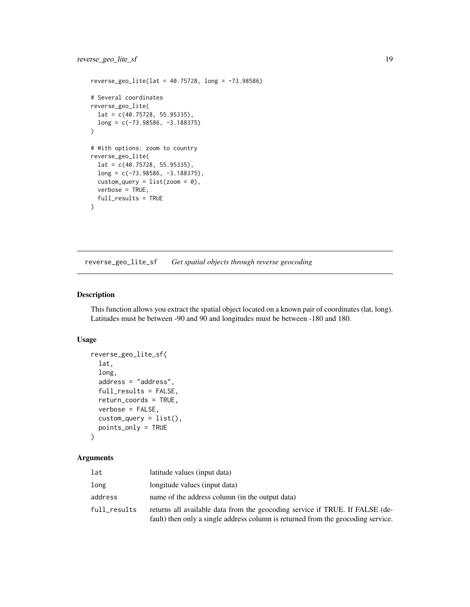#### <span id="page-18-0"></span>reverse\_geo\_lite\_sf 19

```
reverse_geo_lite(lat = 40.75728, long = -73.98586)
# Several coordinates
reverse_geo_lite(
 lat = c(40.75728, 55.95335),long = c(-73.98586, -3.188375)
)
# With options: zoom to country
reverse_geo_lite(
  lat = c(40.75728, 55.95335),
  long = c(-73.98586, -3.188375),
  custom_query = list(zoom = 0),
  verbose = TRUE,
  full_results = TRUE
)
```
<span id="page-18-1"></span>reverse\_geo\_lite\_sf *Get spatial objects through reverse geocoding*

#### Description

This function allows you extract the spatial object located on a known pair of coordinates (lat, long). Latitudes must be between -90 and 90 and longitudes must be between -180 and 180.

#### Usage

```
reverse_geo_lite_sf(
  lat,
  long,
  address = "address",
  full_results = FALSE,
  return_coords = TRUE,
  verbose = FALSE,
  \text{custom\_query} = \text{list}(),points_only = TRUE
\lambda
```
#### Arguments

| lat          | latitude values (input data)                                                                                                                                     |
|--------------|------------------------------------------------------------------------------------------------------------------------------------------------------------------|
| long         | longitude values (input data)                                                                                                                                    |
| address      | name of the address column (in the output data)                                                                                                                  |
| full results | returns all available data from the geocoding service if TRUE. If FALSE (de-<br>fault) then only a single address column is returned from the geocoding service. |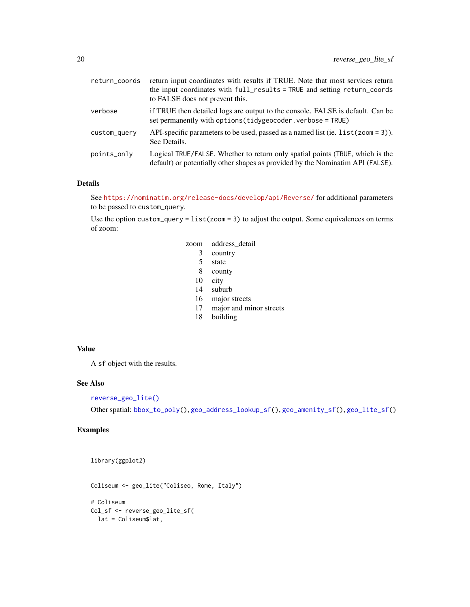<span id="page-19-0"></span>

| return_coords | return input coordinates with results if TRUE. Note that most services return<br>the input coordinates with full_results = TRUE and setting return_coords<br>to FALSE does not prevent this. |
|---------------|----------------------------------------------------------------------------------------------------------------------------------------------------------------------------------------------|
| verbose       | if TRUE then detailed logs are output to the console. FALSE is default. Can be<br>set permanently with options (tidygeocoder.verbose = TRUE)                                                 |
| custom_query  | API-specific parameters to be used, passed as a named list (ie. $list$ (zoom = 3)).<br>See Details.                                                                                          |
| points_only   | Logical TRUE/FALSE. Whether to return only spatial points (TRUE, which is the<br>default) or potentially other shapes as provided by the Nominatim API (FALSE).                              |

#### Details

See <https://nominatim.org/release-docs/develop/api/Reverse/> for additional parameters to be passed to custom\_query.

Use the option custom\_query = list(zoom = 3) to adjust the output. Some equivalences on terms of zoom:

| zoom | address detail |
|------|----------------|
| 3    | country        |

- 5 state
- 8 county
- 10 city
- 14 suburb
- 16 major streets
- 17 major and minor streets
- 18 building

#### Value

A sf object with the results.

#### See Also

#### [reverse\\_geo\\_lite\(\)](#page-16-1)

Other spatial: [bbox\\_to\\_poly\(](#page-1-1)), [geo\\_address\\_lookup\\_sf\(](#page-4-1)), [geo\\_amenity\\_sf\(](#page-8-1)), [geo\\_lite\\_sf\(](#page-11-1))

#### Examples

library(ggplot2)

Coliseum <- geo\_lite("Coliseo, Rome, Italy")

# Coliseum Col\_sf <- reverse\_geo\_lite\_sf( lat = Coliseum\$lat,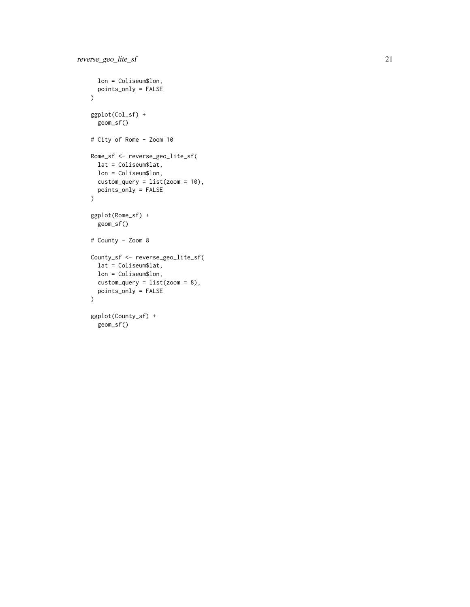```
lon = Coliseum$lon,
 points_only = FALSE
\mathcal{L}ggplot(Col_sf) +
 geom_sf()
# City of Rome - Zoom 10
Rome_sf <- reverse_geo_lite_sf(
 lat = Coliseum$lat,
 lon = Coliseum$lon,
 custom_query = list(zoom = 10),
 points_only = FALSE
)
ggplot(Rome_sf) +
 geom_sf()
# County - Zoom 8
County_sf <- reverse_geo_lite_sf(
 lat = Coliseum$lat,
 lon = Coliseum$lon,
 custom\_query = list(zoom = 8),points_only = FALSE
\overline{)}ggplot(County_sf) +
 geom_sf()
```